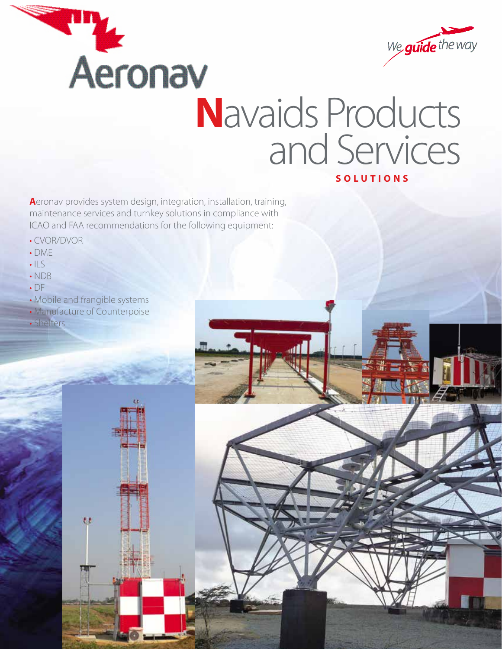



## **N**avaids Products and Services **SOLUTIONS**

. all

**A**eronav provides system design, integration, installation, training, maintenance services and turnkey solutions in compliance with ICAO and FAA recommendations for the following equipment:

- CVOR/DVOR
- DME
- $\cdot$  ILS
- NDB
- DF
- Mobile and frangible systems
- Manufacture of Counterpoise

 $\overline{u}$ 

• Shelters